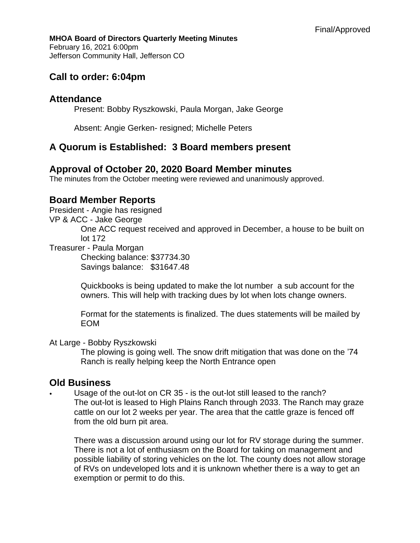#### **MHOA Board of Directors Quarterly Meeting Minutes** February 16, 2021 6:00pm Jefferson Community Hall, Jefferson CO

# **Call to order: 6:04pm**

#### **Attendance**

Present: Bobby Ryszkowski, Paula Morgan, Jake George

Absent: Angie Gerken- resigned; Michelle Peters

## **A Quorum is Established: 3 Board members present**

#### **Approval of October 20, 2020 Board Member minutes**

The minutes from the October meeting were reviewed and unanimously approved.

## **Board Member Reports**

President - Angie has resigned

VP & ACC - Jake George

One ACC request received and approved in December, a house to be built on lot 172

Treasurer - Paula Morgan

Checking balance: \$37734.30 Savings balance: \$31647.48

Quickbooks is being updated to make the lot number a sub account for the owners. This will help with tracking dues by lot when lots change owners.

Format for the statements is finalized. The dues statements will be mailed by EOM

#### At Large - Bobby Ryszkowski

The plowing is going well. The snow drift mitigation that was done on the '74 Ranch is really helping keep the North Entrance open

#### **Old Business**

Usage of the out-lot on CR 35 - is the out-lot still leased to the ranch? The out-lot is leased to High Plains Ranch through 2033. The Ranch may graze cattle on our lot 2 weeks per year. The area that the cattle graze is fenced off from the old burn pit area.

There was a discussion around using our lot for RV storage during the summer. There is not a lot of enthusiasm on the Board for taking on management and possible liability of storing vehicles on the lot. The county does not allow storage of RVs on undeveloped lots and it is unknown whether there is a way to get an exemption or permit to do this.